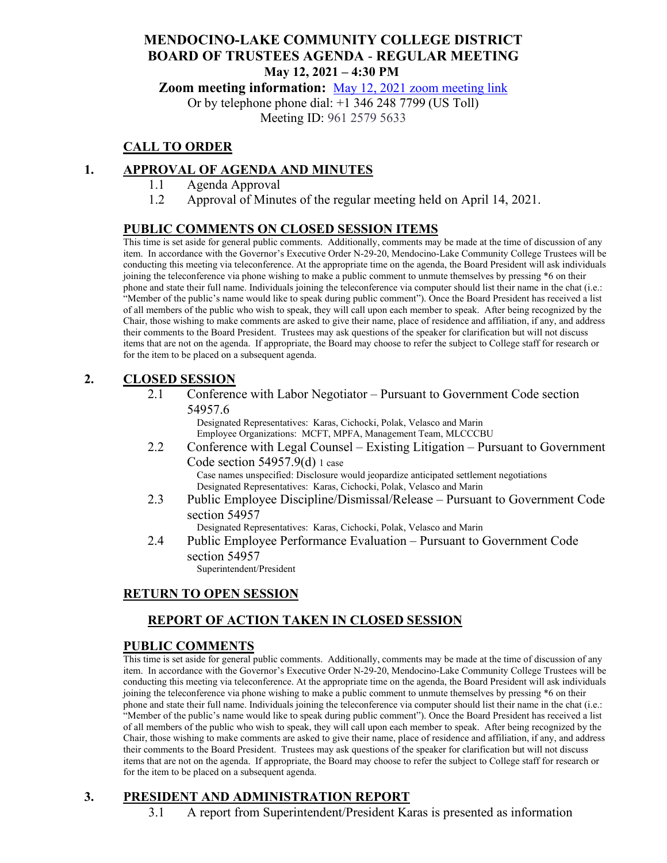# **MENDOCINO-LAKE COMMUNITY COLLEGE DISTRICT BOARD OF TRUSTEES AGENDA** - **REGULAR MEETING May 12, 2021 – 4:30 PM**

**Zoom meeting information:** May 12, 2021 [zoom meeting link](https://cccconfer.zoom.us/s/96125795633)

Or by telephone phone dial: +1 346 248 7799 (US Toll) Meeting ID: 961 2579 5633

# **CALL TO ORDER**

## **1. APPROVAL OF AGENDA AND MINUTES**

- 1.1 Agenda Approval
- 1.2 Approval of Minutes of the regular meeting held on April 14, 2021.

#### **PUBLIC COMMENTS ON CLOSED SESSION ITEMS**

This time is set aside for general public comments. Additionally, comments may be made at the time of discussion of any item. In accordance with the Governor's Executive Order N-29-20, Mendocino-Lake Community College Trustees will be conducting this meeting via teleconference. At the appropriate time on the agenda, the Board President will ask individuals joining the teleconference via phone wishing to make a public comment to unmute themselves by pressing \*6 on their phone and state their full name. Individuals joining the teleconference via computer should list their name in the chat (i.e.: "Member of the public's name would like to speak during public comment"). Once the Board President has received a list of all members of the public who wish to speak, they will call upon each member to speak. After being recognized by the Chair, those wishing to make comments are asked to give their name, place of residence and affiliation, if any, and address their comments to the Board President. Trustees may ask questions of the speaker for clarification but will not discuss items that are not on the agenda. If appropriate, the Board may choose to refer the subject to College staff for research or for the item to be placed on a subsequent agenda.

#### **2. CLOSED SESSION**

2.1 Conference with Labor Negotiator – Pursuant to Government Code section 54957.6

Designated Representatives: Karas, Cichocki, Polak, Velasco and Marin Employee Organizations: MCFT, MPFA, Management Team, MLCCCBU

2.2 Conference with Legal Counsel – Existing Litigation – Pursuant to Government Code section 54957.9(d) 1 case Case names unspecified: Disclosure would jeopardize anticipated settlement negotiations

Designated Representatives: Karas, Cichocki, Polak, Velasco and Marin

2.3 Public Employee Discipline/Dismissal/Release – Pursuant to Government Code section 54957

Designated Representatives: Karas, Cichocki, Polak, Velasco and Marin

2.4 Public Employee Performance Evaluation – Pursuant to Government Code section 54957

Superintendent/President

## **RETURN TO OPEN SESSION**

# **REPORT OF ACTION TAKEN IN CLOSED SESSION**

## **PUBLIC COMMENTS**

This time is set aside for general public comments. Additionally, comments may be made at the time of discussion of any item. In accordance with the Governor's Executive Order N-29-20, Mendocino-Lake Community College Trustees will be conducting this meeting via teleconference. At the appropriate time on the agenda, the Board President will ask individuals joining the teleconference via phone wishing to make a public comment to unmute themselves by pressing \*6 on their phone and state their full name. Individuals joining the teleconference via computer should list their name in the chat (i.e.: "Member of the public's name would like to speak during public comment"). Once the Board President has received a list of all members of the public who wish to speak, they will call upon each member to speak. After being recognized by the Chair, those wishing to make comments are asked to give their name, place of residence and affiliation, if any, and address their comments to the Board President. Trustees may ask questions of the speaker for clarification but will not discuss items that are not on the agenda. If appropriate, the Board may choose to refer the subject to College staff for research or for the item to be placed on a subsequent agenda.

# **3. PRESIDENT AND ADMINISTRATION REPORT**

3.1 A report from Superintendent/President Karas is presented as information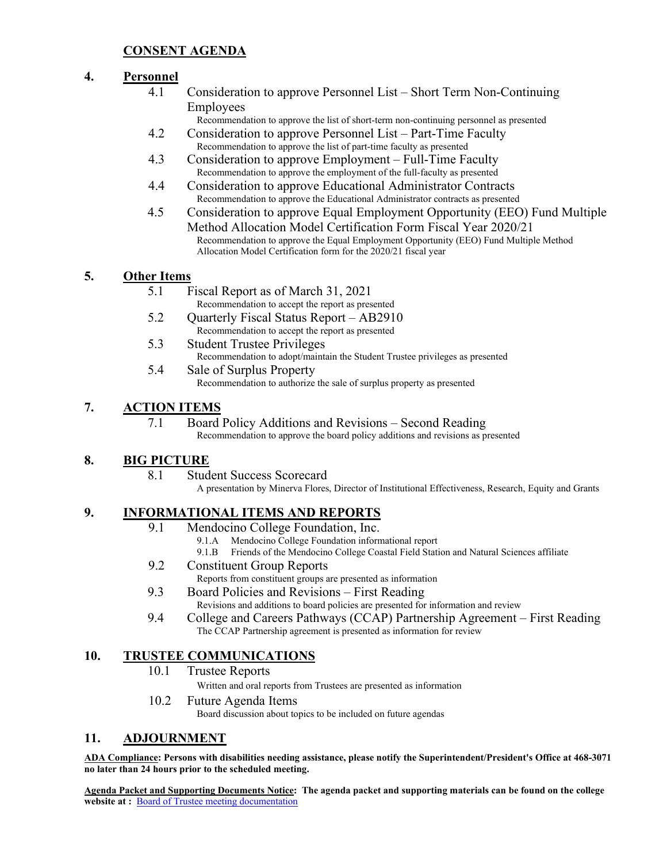## **CONSENT AGENDA**

#### **4. Personnel**

4.1 Consideration to approve Personnel List – Short Term Non-Continuing Employees

Recommendation to approve the list of short-term non-continuing personnel as presented

- 4.2 Consideration to approve Personnel List Part-Time Faculty Recommendation to approve the list of part-time faculty as presented
- 4.3 Consideration to approve Employment Full-Time Faculty Recommendation to approve the employment of the full-faculty as presented
- 4.4 Consideration to approve Educational Administrator Contracts Recommendation to approve the Educational Administrator contracts as presented
- 4.5 Consideration to approve Equal Employment Opportunity (EEO) Fund Multiple Method Allocation Model Certification Form Fiscal Year 2020/21 Recommendation to approve the Equal Employment Opportunity (EEO) Fund Multiple Method Allocation Model Certification form for the 2020/21 fiscal year

#### **5. Other Items**

- 5.1 Fiscal Report as of March 31, 2021
- Recommendation to accept the report as presented 5.2 Quarterly Fiscal Status Report – AB2910
	- Recommendation to accept the report as presented
- 5.3 Student Trustee Privileges Recommendation to adopt/maintain the Student Trustee privileges as presented 5.4 Sale of Surplus Property
	- Recommendation to authorize the sale of surplus property as presented

## **7. ACTION ITEMS**

7.1 Board Policy Additions and Revisions – Second Reading Recommendation to approve the board policy additions and revisions as presented

## **8. BIG PICTURE**

8.1 Student Success Scorecard

A presentation by Minerva Flores, Director of Institutional Effectiveness, Research, Equity and Grants

## **9. INFORMATIONAL ITEMS AND REPORTS**

- 9.1 Mendocino College Foundation, Inc.
	- 9.1.A Mendocino College Foundation informational report
	- 9.1.B Friends of the Mendocino College Coastal Field Station and Natural Sciences affiliate
- 9.2 Constituent Group Reports
	- Reports from constituent groups are presented as information
- 9.3 Board Policies and Revisions First Reading Revisions and additions to board policies are presented for information and review
- 9.4 College and Careers Pathways (CCAP) Partnership Agreement First Reading The CCAP Partnership agreement is presented as information for review

# **10. TRUSTEE COMMUNICATIONS**

10.1 Trustee Reports

Written and oral reports from Trustees are presented as information

10.2 Future Agenda Items Board discussion about topics to be included on future agendas

## **11. ADJOURNMENT**

**ADA Compliance: Persons with disabilities needing assistance, please notify the Superintendent/President's Office at 468-3071 no later than 24 hours prior to the scheduled meeting.** 

**Agenda Packet and Supporting Documents Notice: The agenda packet and supporting materials can be found on the college**  website at : **[Board of Trustee meeting documentation](https://www.mendocino.edu/botagendas)**